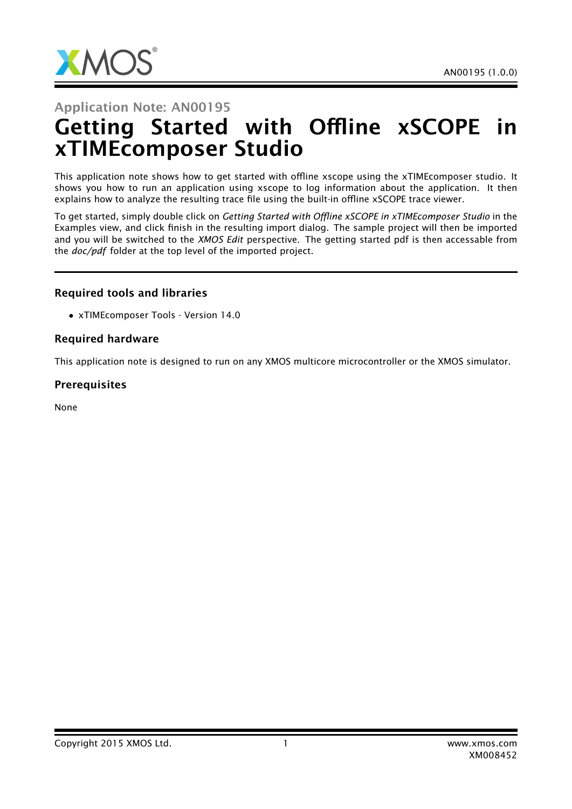

#### Application Note: AN00195

# Getting Started with Offline xSCOPE in xTIMEcomposer Studio

This application note shows how to get started with offline xscope using the xTIMEcomposer studio. It shows you how to run an application using xscope to log information about the application. It then explains how to analyze the resulting trace file using the built-in offline xSCOPE trace viewer.

To get started, simply double click on *Getting Started with Offline xSCOPE in xTIMEcomposer Studio* in the Examples view, and click finish in the resulting import dialog. The sample project will then be imported and you will be switched to the *XMOS Edit* perspective. The getting started pdf is then accessable from the *doc/pdf* folder at the top level of the imported project.

#### Required tools and libraries

• xTIMEcomposer Tools - Version 14.0

#### Required hardware

This application note is designed to run on any XMOS multicore microcontroller or the XMOS simulator.

#### **Prerequisites**

None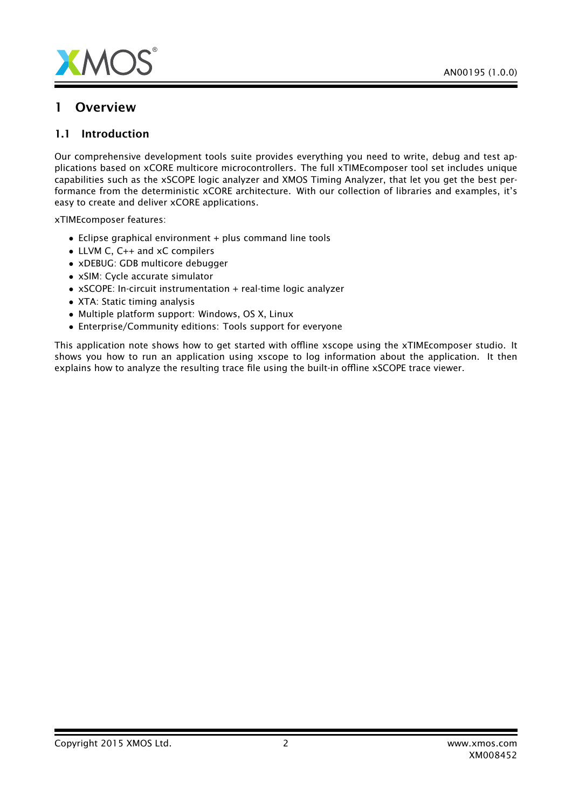

#### 1 Overview

#### 1.1 Introduction

Our comprehensive development tools suite provides everything you need to write, debug and test applications based on xCORE multicore microcontrollers. The full xTIMEcomposer tool set includes unique capabilities such as the xSCOPE logic analyzer and XMOS Timing Analyzer, that let you get the best performance from the deterministic xCORE architecture. With our collection of libraries and examples, it's easy to create and deliver xCORE applications.

xTIMEcomposer features:

- Eclipse graphical environment + plus command line tools
- LLVM C, C++ and xC compilers
- xDEBUG: GDB multicore debugger
- xSIM: Cycle accurate simulator
- xSCOPE: In-circuit instrumentation + real-time logic analyzer
- XTA: Static timing analysis
- Multiple platform support: Windows, OS X, Linux
- Enterprise/Community editions: Tools support for everyone

This application note shows how to get started with offline xscope using the xTIMEcomposer studio. It shows you how to run an application using xscope to log information about the application. It then explains how to analyze the resulting trace file using the built-in offline xSCOPE trace viewer.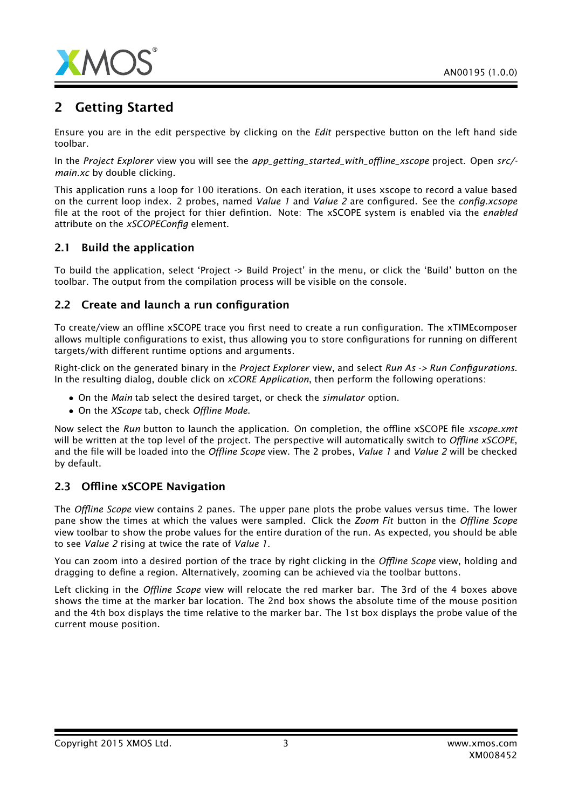

## 2 Getting Started

Ensure you are in the edit perspective by clicking on the *Edit* perspective button on the left hand side toolbar.

In the *Project Explorer* view you will see the *app\_getting\_started\_with\_offline\_xscope* project. Open *src/ main.xc* by double clicking.

This application runs a loop for 100 iterations. On each iteration, it uses xscope to record a value based on the current loop index. 2 probes, named *Value 1* and *Value 2* are configured. See the *config.xcsope* file at the root of the project for thier defintion. Note: The xSCOPE system is enabled via the *enabled* attribute on the *xSCOPEConfig* element.

#### 2.1 Build the application

To build the application, select 'Project -> Build Project' in the menu, or click the 'Build' button on the toolbar. The output from the compilation process will be visible on the console.

#### 2.2 Create and launch a run configuration

To create/view an offline xSCOPE trace you first need to create a run configuration. The xTIMEcomposer allows multiple configurations to exist, thus allowing you to store configurations for running on different targets/with different runtime options and arguments.

Right-click on the generated binary in the *Project Explorer* view, and select *Run As -> Run Configurations*. In the resulting dialog, double click on *xCORE Application*, then perform the following operations:

- On the *Main* tab select the desired target, or check the *simulator* option.
- On the *XScope* tab, check *Offline Mode*.

Now select the *Run* button to launch the application. On completion, the offline xSCOPE file *xscope.xmt* will be written at the top level of the project. The perspective will automatically switch to *Offline xSCOPE*, and the file will be loaded into the *Offline Scope* view. The 2 probes, *Value 1* and *Value 2* will be checked by default.

#### 2.3 Offline xSCOPE Navigation

The *Offline Scope* view contains 2 panes. The upper pane plots the probe values versus time. The lower pane show the times at which the values were sampled. Click the *Zoom Fit* button in the *Offline Scope* view toolbar to show the probe values for the entire duration of the run. As expected, you should be able to see *Value 2* rising at twice the rate of *Value 1*.

You can zoom into a desired portion of the trace by right clicking in the *Offline Scope* view, holding and dragging to define a region. Alternatively, zooming can be achieved via the toolbar buttons.

Left clicking in the *Offline Scope* view will relocate the red marker bar. The 3rd of the 4 boxes above shows the time at the marker bar location. The 2nd box shows the absolute time of the mouse position and the 4th box displays the time relative to the marker bar. The 1st box displays the probe value of the current mouse position.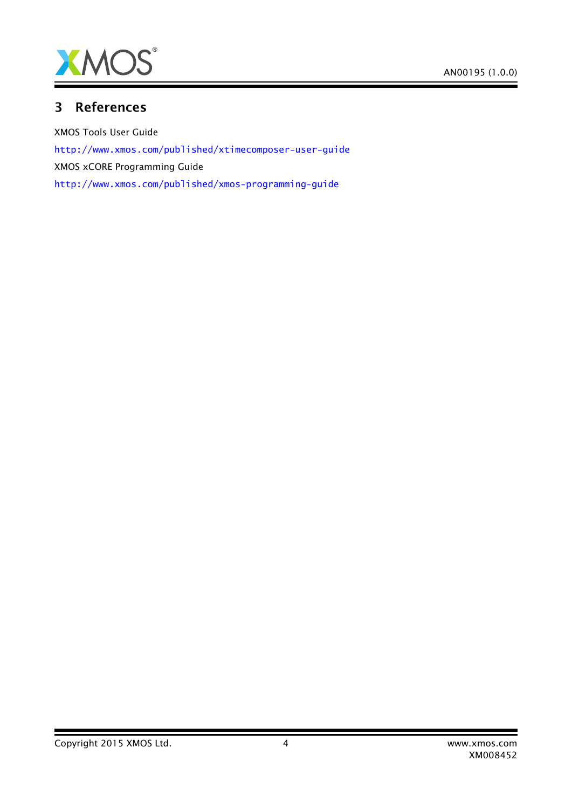

### 3 References

XMOS Tools User Guide <http://www.xmos.com/published/xtimecomposer-user-guide> XMOS xCORE Programming Guide <http://www.xmos.com/published/xmos-programming-guide>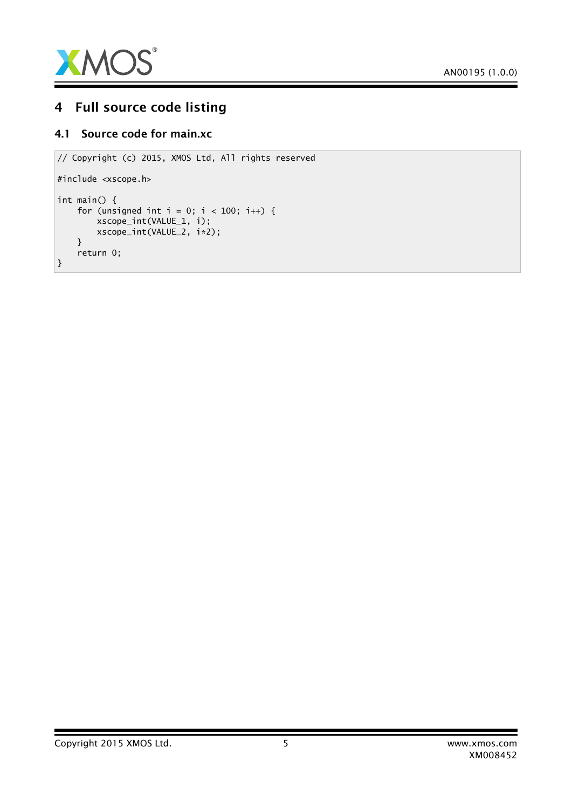

## 4 Full source code listing

#### 4.1 Source code for main.xc

```
// Copyright (c) 2015, XMOS Ltd, All rights reserved
#include <xscope.h>
int main() {
    for (unsigned int i = 0; i < 100; i++) {
        xscope_int(VALUE_1, i);
        xscope_int(VALUE_2, i*2);
    }
    return 0;
}
```